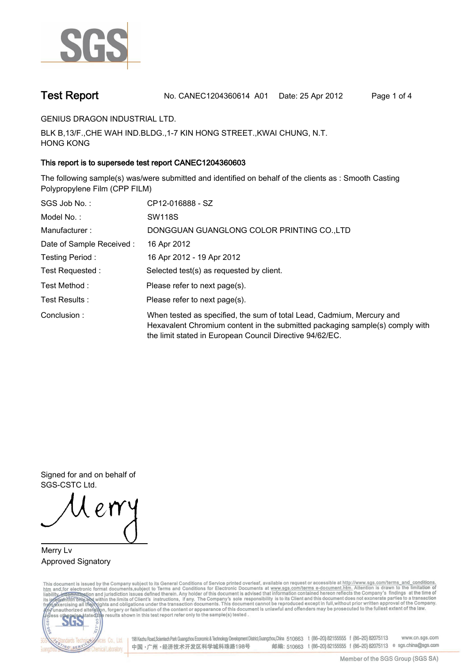

**Test Report. No. CANEC1204360614 A01 Date: 25 Apr 2012. Page 1 of 4.**

**GENIUS DRAGON INDUSTRIAL LTD..**

**BLK B,13/F.,CHE WAH IND.BLDG.,1-7 KIN HONG STREET.,KWAI CHUNG, N.T. HONG KONG.**

## **This report is to supersede test report CANEC1204360603.**

**The following sample(s) was/were submitted and identified on behalf of the clients as : Smooth Casting Polypropylene Film (CPP FILM).**

| SGS Job No.:             | CP12-016888 - SZ                                                                                                                                                                                                  |
|--------------------------|-------------------------------------------------------------------------------------------------------------------------------------------------------------------------------------------------------------------|
| Model No. :              | <b>SW118S</b>                                                                                                                                                                                                     |
| Manufacturer:            | DONGGUAN GUANGLONG COLOR PRINTING CO.,LTD                                                                                                                                                                         |
| Date of Sample Received: | 16 Apr 2012                                                                                                                                                                                                       |
| Testing Period:          | 16 Apr 2012 - 19 Apr 2012                                                                                                                                                                                         |
| Test Requested :         | Selected test(s) as requested by client.                                                                                                                                                                          |
| Test Method:             | Please refer to next page(s).                                                                                                                                                                                     |
| Test Results:            | Please refer to next page(s).                                                                                                                                                                                     |
| Conclusion:              | When tested as specified, the sum of total Lead, Cadmium, Mercury and<br>Hexavalent Chromium content in the submitted packaging sample(s) comply with<br>the limit stated in European Council Directive 94/62/EC. |

**Signed for and on behalf of SGS-CSTC Ltd..**

**Merry Lv. Approved Signatory.**

This document is issued by the Company subject to its General Conditions of Service printed overleaf, available on request or accessible at http://www.sgs.com/terms\_and\_conditions.<br>htm\_and,for electronic format documents,s



198 Kezhu Road, Scientech Park Guangzhou Economic & Technology Development District, Guangzhou, China 510663 t (86-20) 82155555 f (86-20) 82075113 www.cn.sgs.com 邮编: 510663 t (86-20) 82155555 f (86-20) 82075113 e sgs.china@sgs.com 中国·广州·经济技术开发区科学城科珠路198号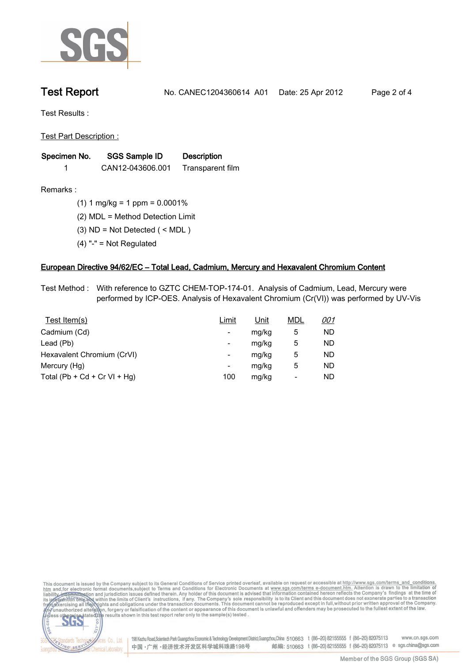

**Test Report. No. CANEC1204360614 A01 Date: 25 Apr 2012. Page 2 of 4.**

**Test Results :.**

**Test Part Description :.**

| Specimen No. | <b>SGS Sample ID</b> | <b>Description</b> |  |
|--------------|----------------------|--------------------|--|
|              | CAN12-043606.001     | Transparent film   |  |

NG SER

Chemical Laboratory.

**Remarks :.(1) 1 mg/kg = 1 ppm = 0.0001%.**

**(2) MDL = Method Detection Limit.**

- **(3) ND = Not Detected ( < MDL ).**
- **(4) "-" = Not Regulated.**

### **European Directive 94/62/EC – Total Lead, Cadmium, Mercury and Hexavalent Chromium Content.**

**Test Method :. With reference to GZTC CHEM-TOP-174-01. Analysis of Cadmium, Lead, Mercury were performed by ICP-OES. Analysis of Hexavalent Chromium (Cr(VI)) was performed by UV-Vis.**

| Test Item(s)                 | Limit | <u>Unit</u> | <b>MDL</b> | <u>001</u> |
|------------------------------|-------|-------------|------------|------------|
| Cadmium (Cd)                 | -     | mg/kg       | 5          | ND         |
| Lead (Pb)                    | -     | mg/kg       | 5          | ND         |
| Hexavalent Chromium (CrVI)   | -     | mg/kg       | 5          | ND         |
| Mercury (Hg)                 | -     | mg/kg       | 5          | ND         |
| Total (Pb + Cd + Cr VI + Hg) | 100   | mg/kg       | -          | ND         |

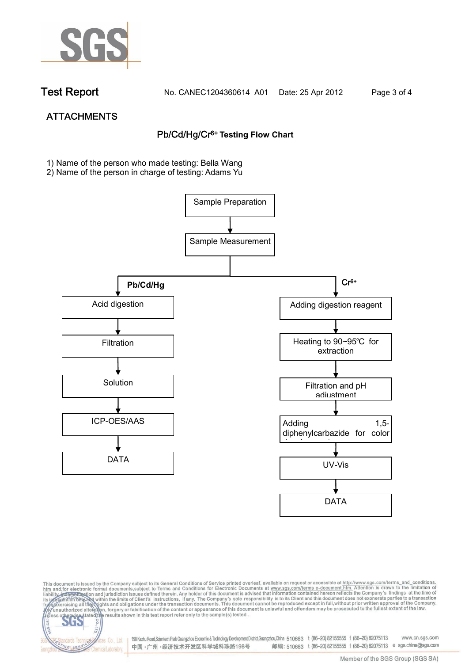

NG SER

**Chemical Laboratory** 

**Test Report. No. CANEC1204360614 A01 Date: 25 Apr 2012. Page 3 of 4.**

# **ATTACHMENTS Pb/Cd/Hg/Cr6+ Testing Flow Chart**

**1)** Name of the person who made testing: Bella Wang

2) Name of the person in charge of testing: Adams Yu





Electric Co., Ltd. 198 Kezhu Road, Scientech Park Guangzhou Economic & Technology Development District, Guangzhou, China 510663 t (86-20) 82155555 f (86-20) 82075113 邮编: 510663 t (86-20) 82155555 f (86-20) 82075113 e sgs.china@sgs.com 中国·广州·经济技术开发区科学城科珠路198号